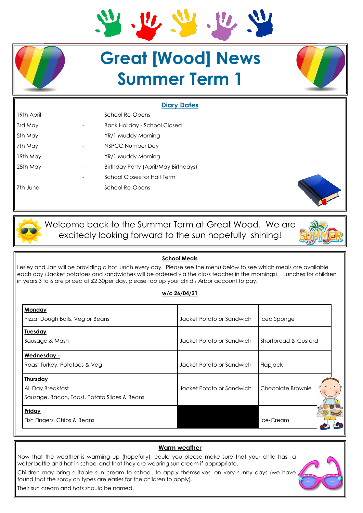# **Great [Wood] News Summer Term 1**

## **Diary Dates**

| 19th April |   | <b>School Re-Opens</b>               |  |
|------------|---|--------------------------------------|--|
| 3rd May    |   | <b>Bank Holiday - School Closed</b>  |  |
| 5th May    |   | YR/1 Muddy Morning                   |  |
| 7th May    |   | NSPCC Number Day                     |  |
| 19th May   |   | YR/1 Muddy Morning                   |  |
| 28th May   | - | Birthday Party (April/May Birthdays) |  |
|            |   | <b>School Closes for Half Term</b>   |  |
| 7th June   |   | School Re-Opens                      |  |

Welcome back to the Summer Term at Great Wood. We are excitedly looking forward to the sun hopefully shining!

## **School Meals**

Lesley and Jan will be providing a hot lunch every day. Please see the menu below to see which meals are available each day (Jacket potatoes and sandwiches will be ordered via the class teacher in the mornings). Lunches for children in years 3 to 6 are priced at £2.30per day, please top up your child's Arbor account to pay.

## **w/c 26/04/21**

| <b>Monday</b><br>Pizza, Dough Balls, Veg or Beans                                    | Jacket Potato or Sandwich | Iced Sponge          |  |
|--------------------------------------------------------------------------------------|---------------------------|----------------------|--|
| <b>Tuesday</b><br>Sausage & Mash                                                     | Jacket Potato or Sandwich | Shortbread & Custard |  |
| Wednesday -<br>Roast Turkey, Potatoes & Veg                                          | Jacket Potato or Sandwich | Flapjack             |  |
| <b>Thursday</b><br>All Day Breakfast<br>Sausage, Bacon, Toast, Potato Slices & Beans | Jacket Potato or Sandwich | Chocolate Brownie    |  |
| Friday<br>Fish Fingers, Chips & Beans                                                |                           | Ice-Cream            |  |

# **Warm weather**  Now that the weather is warming up (hopefully), could you please make sure that your child has a water bottle and hat in school and that they are wearing sun cream if appropriate. Children may bring suitable sun cream to school, to apply themselves, on very sunny days (we have found that the spray on types are easier for the children to apply). Their sun cream and hats should be named.

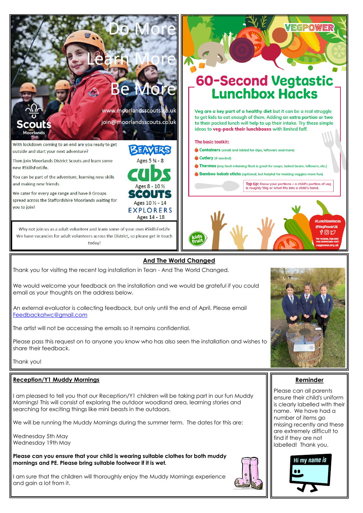

Thank you for visiting the recent log installation in Tean - And The World Changed.

We would welcome your feedback on the installation and we would be grateful if you could email as your thoughts on the address below.

An external evaluator is collecting feedback, but only until the end of April. Please email [Feedbackatwc@gmail.com](mailto:Feedbackatwc@gmail.com)

The artist will not be accessing the emails so it remains confidential.

Please pass this request on to anyone you know who has also seen the installation and wishes to share their feedback.

Thank you!

# **Reception/Y1 Muddy Mornings**

I am pleased to tell you that our Reception/Y1 children will be taking part in our fun Muddy Mornings! This will consist of exploring the outdoor woodland area, learning stories and searching for exciting things like mini beasts in the outdoors.

We will be running the Muddy Mornings during the summer term. The dates for this are:

Wednesday 5th May Wednesday 19th May

**Please can you ensure that your child is wearing suitable clothes for both muddy mornings and PE. Please bring suitable footwear if it is wet.**

I am sure that the children will thoroughly enjoy the Muddy Mornings experience and gain a lot from it.





Please can all parents ensure their child's uniform is clearly labelled with their name. We have had a number of items go missing recently and these are extremely difficult to find if they are not labelled! Thank you.